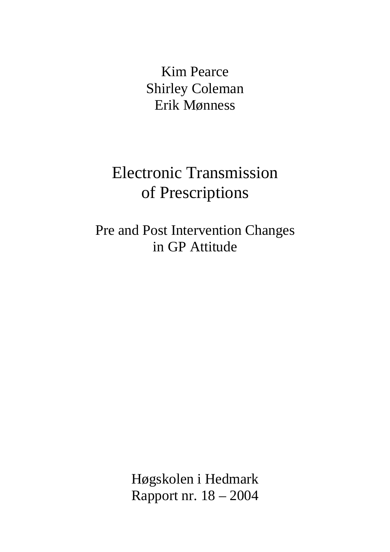Kim Pearce Shirley Coleman Erik Mønness

## Electronic Transmission of Prescriptions

Pre and Post Intervention Changes in GP Attitude

> Høgskolen i Hedmark Rapport nr. 18 – 2004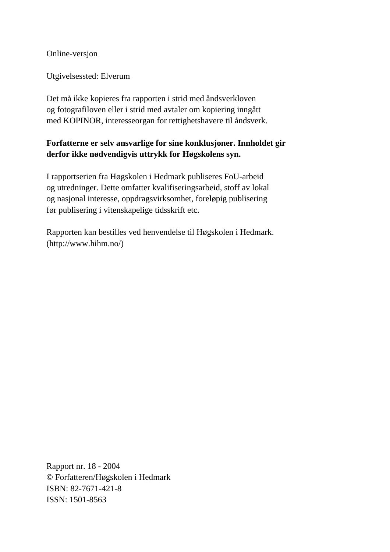Online-versjon

Utgivelsessted: Elverum

Det må ikke kopieres fra rapporten i strid med åndsverkloven og fotografiloven eller i strid med avtaler om kopiering inngått med KOPINOR, interesseorgan for rettighetshavere til åndsverk.

#### **Forfatterne er selv ansvarlige for sine konklusjoner. Innholdet gir derfor ikke nødvendigvis uttrykk for Høgskolens syn.**

I rapportserien fra Høgskolen i Hedmark publiseres FoU-arbeid og utredninger. Dette omfatter kvalifiseringsarbeid, stoff av lokal og nasjonal interesse, oppdragsvirksomhet, foreløpig publisering før publisering i vitenskapelige tidsskrift etc.

Rapporten kan bestilles ved henvendelse til Høgskolen i Hedmark. (http://www.hihm.no/)

Rapport nr. 18 - 2004 © Forfatteren/Høgskolen i Hedmark ISBN: 82-7671-421-8 ISSN: 1501-8563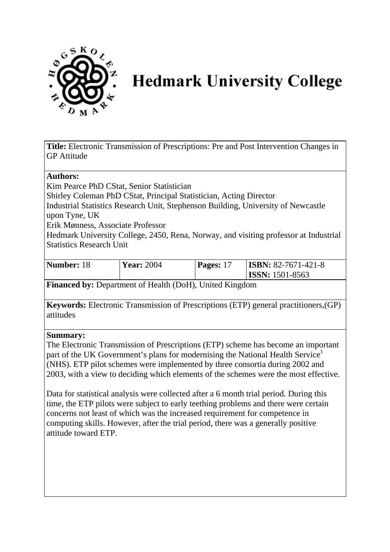

# **Hedmark University College**

**Title:** Electronic Transmission of Prescriptions: Pre and Post Intervention Changes in GP Attitude

#### **Authors:**

Kim Pearce PhD CStat, Senior Statistician Shirley Coleman PhD CStat, Principal Statistician, Acting Director Industrial Statistics Research Unit, Stephenson Building, University of Newcastle upon Tyne, UK Erik Mønness, Associate Professor

Hedmark University College, 2450, Rena, Norway, and visiting professor at Industrial Statistics Research Unit

| Number: 18 | <b>Year: 2004</b> | Pages: 17 | $\textbf{ISSBN: } 82 - 7671 - 421 - 8$<br>$\textsf{ISSN: } 1501 - 8563$ |  |
|------------|-------------------|-----------|-------------------------------------------------------------------------|--|
|------------|-------------------|-----------|-------------------------------------------------------------------------|--|

**Financed by:** Department of Health (DoH), United Kingdom

**Keywords:** Electronic Transmission of Prescriptions (ETP) general practitioners,(GP) attitudes

#### **Summary:**

The Electronic Transmission of Prescriptions (ETP) scheme has become an important part of the UK Government's plans for modernising the National Health Service<sup>1</sup> (NHS). ETP pilot schemes were implemented by three consortia during 2002 and 2003, with a view to deciding which elements of the schemes were the most effective.

Data for statistical analysis were collected after a 6 month trial period. During this time, the ETP pilots were subject to early teething problems and there were certain concerns not least of which was the increased requirement for competence in computing skills. However, after the trial period, there was a generally positive attitude toward ETP.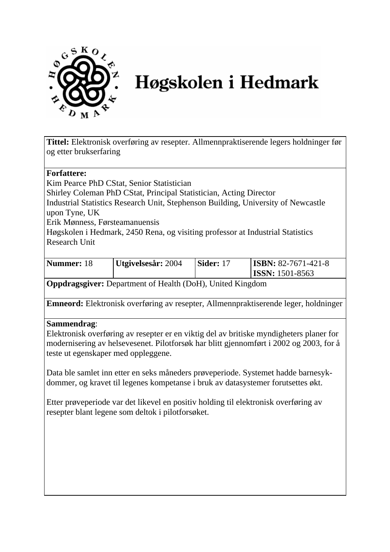

# Høgskolen i Hedmark

**Tittel:** Elektronisk overføring av resepter. Allmennpraktiserende legers holdninger før og etter brukserfaring

#### **Forfattere:**

Kim Pearce PhD CStat, Senior Statistician Shirley Coleman PhD CStat, Principal Statistician, Acting Director Industrial Statistics Research Unit, Stephenson Building, University of Newcastle upon Tyne, UK Erik Mønness, Førsteamanuensis Høgskolen i Hedmark, 2450 Rena, og visiting professor at Industrial Statistics Research Unit

| Nummer: 18 | Utgivelsesår: 2004 | Sider: 17 | $\textbf{ISBN: } 82-7671-421-8$<br>$ ISSN: 1501-8563$ |
|------------|--------------------|-----------|-------------------------------------------------------|
|------------|--------------------|-----------|-------------------------------------------------------|

**Oppdragsgiver:** Department of Health (DoH), United Kingdom

**Emneord:** Elektronisk overføring av resepter, Allmennpraktiserende leger, holdninger

#### **Sammendrag**:

Elektronisk overføring av resepter er en viktig del av britiske myndigheters planer for modernisering av helsevesenet. Pilotforsøk har blitt gjennomført i 2002 og 2003, for å teste ut egenskaper med oppleggene.

Data ble samlet inn etter en seks måneders prøveperiode. Systemet hadde barnesykdommer, og kravet til legenes kompetanse i bruk av datasystemer forutsettes økt.

Etter prøveperiode var det likevel en positiv holding til elektronisk overføring av resepter blant legene som deltok i pilotforsøket.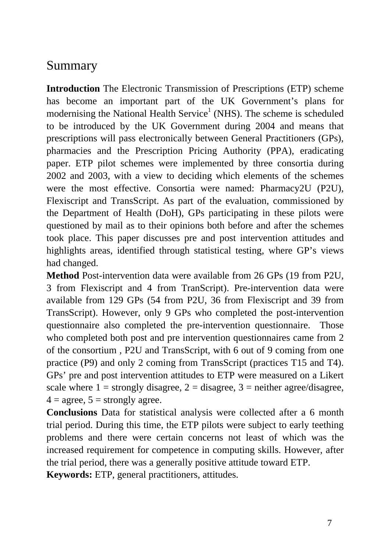#### Summary

**Introduction** The Electronic Transmission of Prescriptions (ETP) scheme has become an important part of the UK Government's plans for modernising the National Health Service<sup>1</sup> (NHS). The scheme is scheduled to be introduced by the UK Government during 2004 and means that prescriptions will pass electronically between General Practitioners (GPs), pharmacies and the Prescription Pricing Authority (PPA), eradicating paper. ETP pilot schemes were implemented by three consortia during 2002 and 2003, with a view to deciding which elements of the schemes were the most effective. Consortia were named: Pharmacy2U (P2U), Flexiscript and TransScript. As part of the evaluation, commissioned by the Department of Health (DoH), GPs participating in these pilots were questioned by mail as to their opinions both before and after the schemes took place. This paper discusses pre and post intervention attitudes and highlights areas, identified through statistical testing, where GP's views had changed.

**Method** Post-intervention data were available from 26 GPs (19 from P2U, 3 from Flexiscript and 4 from TranScript). Pre-intervention data were available from 129 GPs (54 from P2U, 36 from Flexiscript and 39 from TransScript). However, only 9 GPs who completed the post-intervention questionnaire also completed the pre-intervention questionnaire. Those who completed both post and pre intervention questionnaires came from 2 of the consortium , P2U and TransScript, with 6 out of 9 coming from one practice (P9) and only 2 coming from TransScript (practices T15 and T4). GPs' pre and post intervention attitudes to ETP were measured on a Likert scale where  $1 =$  strongly disagree,  $2 =$  disagree,  $3 =$  neither agree/disagree,  $4 = \text{agree}, 5 = \text{strongly agree}.$ 

**Conclusions** Data for statistical analysis were collected after a 6 month trial period. During this time, the ETP pilots were subject to early teething problems and there were certain concerns not least of which was the increased requirement for competence in computing skills. However, after the trial period, there was a generally positive attitude toward ETP.

**Keywords:** ETP, general practitioners, attitudes.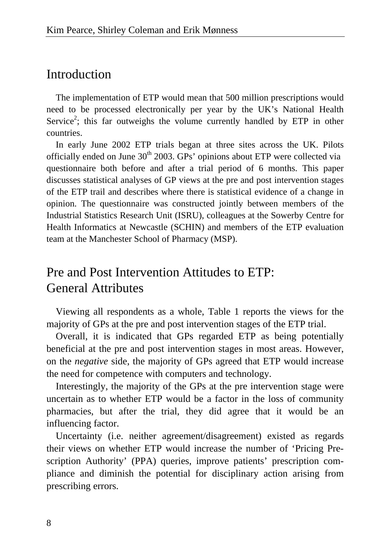#### Introduction

The implementation of ETP would mean that 500 million prescriptions would need to be processed electronically per year by the UK's National Health Service<sup>2</sup>; this far outweighs the volume currently handled by ETP in other countries.

In early June 2002 ETP trials began at three sites across the UK. Pilots officially ended on June  $30<sup>th</sup> 2003$ . GPs' opinions about ETP were collected via questionnaire both before and after a trial period of 6 months. This paper discusses statistical analyses of GP views at the pre and post intervention stages of the ETP trail and describes where there is statistical evidence of a change in opinion. The questionnaire was constructed jointly between members of the Industrial Statistics Research Unit (ISRU), colleagues at the Sowerby Centre for Health Informatics at Newcastle (SCHIN) and members of the ETP evaluation team at the Manchester School of Pharmacy (MSP).

## Pre and Post Intervention Attitudes to ETP: General Attributes

Viewing all respondents as a whole, Table 1 reports the views for the majority of GPs at the pre and post intervention stages of the ETP trial.

Overall, it is indicated that GPs regarded ETP as being potentially beneficial at the pre and post intervention stages in most areas. However, on the *negative* side, the majority of GPs agreed that ETP would increase the need for competence with computers and technology.

Interestingly, the majority of the GPs at the pre intervention stage were uncertain as to whether ETP would be a factor in the loss of community pharmacies, but after the trial, they did agree that it would be an influencing factor.

Uncertainty (i.e. neither agreement/disagreement) existed as regards their views on whether ETP would increase the number of 'Pricing Prescription Authority' (PPA) queries, improve patients' prescription compliance and diminish the potential for disciplinary action arising from prescribing errors.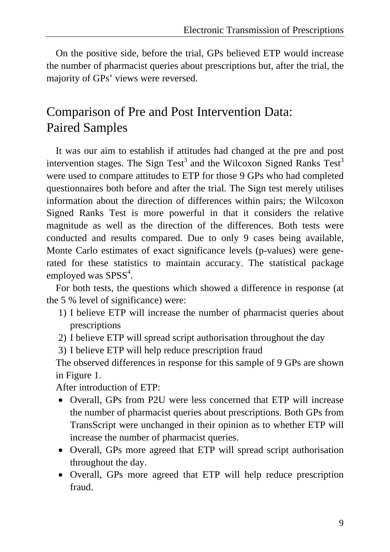On the positive side, before the trial, GPs believed ETP would increase the number of pharmacist queries about prescriptions but, after the trial, the majority of GPs' views were reversed.

## Comparison of Pre and Post Intervention Data: Paired Samples

It was our aim to establish if attitudes had changed at the pre and post intervention stages. The Sign Test<sup>3</sup> and the Wilcoxon Signed Ranks Test<sup>3</sup> were used to compare attitudes to ETP for those 9 GPs who had completed questionnaires both before and after the trial. The Sign test merely utilises information about the direction of differences within pairs; the Wilcoxon Signed Ranks Test is more powerful in that it considers the relative magnitude as well as the direction of the differences. Both tests were conducted and results compared. Due to only 9 cases being available, Monte Carlo estimates of exact significance levels (p-values) were generated for these statistics to maintain accuracy. The statistical package employed was  $SPSS<sup>4</sup>$ .

For both tests, the questions which showed a difference in response (at the 5 % level of significance) were:

- 1) I believe ETP will increase the number of pharmacist queries about prescriptions
- 2) I believe ETP will spread script authorisation throughout the day
- 3) I believe ETP will help reduce prescription fraud

The observed differences in response for this sample of 9 GPs are shown in Figure 1.

After introduction of ETP:

- Overall, GPs from P2U were less concerned that ETP will increase the number of pharmacist queries about prescriptions. Both GPs from TransScript were unchanged in their opinion as to whether ETP will increase the number of pharmacist queries.
- Overall, GPs more agreed that ETP will spread script authorisation throughout the day.
- Overall, GPs more agreed that ETP will help reduce prescription fraud.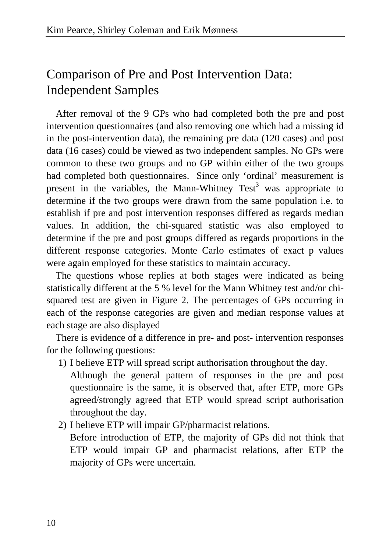## Comparison of Pre and Post Intervention Data: Independent Samples

After removal of the 9 GPs who had completed both the pre and post intervention questionnaires (and also removing one which had a missing id in the post-intervention data), the remaining pre data (120 cases) and post data (16 cases) could be viewed as two independent samples. No GPs were common to these two groups and no GP within either of the two groups had completed both questionnaires. Since only 'ordinal' measurement is present in the variables, the Mann-Whitney  $Test^3$  was appropriate to determine if the two groups were drawn from the same population i.e. to establish if pre and post intervention responses differed as regards median values. In addition, the chi-squared statistic was also employed to determine if the pre and post groups differed as regards proportions in the different response categories. Monte Carlo estimates of exact p values were again employed for these statistics to maintain accuracy.

The questions whose replies at both stages were indicated as being statistically different at the 5 % level for the Mann Whitney test and/or chisquared test are given in Figure 2. The percentages of GPs occurring in each of the response categories are given and median response values at each stage are also displayed

There is evidence of a difference in pre- and post- intervention responses for the following questions:

- 1) I believe ETP will spread script authorisation throughout the day.
	- Although the general pattern of responses in the pre and post questionnaire is the same, it is observed that, after ETP, more GPs agreed/strongly agreed that ETP would spread script authorisation throughout the day.
- 2) I believe ETP will impair GP/pharmacist relations.

Before introduction of ETP, the majority of GPs did not think that ETP would impair GP and pharmacist relations, after ETP the majority of GPs were uncertain.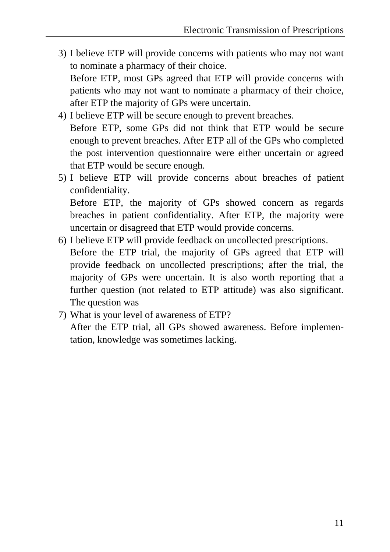3) I believe ETP will provide concerns with patients who may not want to nominate a pharmacy of their choice.

Before ETP, most GPs agreed that ETP will provide concerns with patients who may not want to nominate a pharmacy of their choice, after ETP the majority of GPs were uncertain.

- 4) I believe ETP will be secure enough to prevent breaches. Before ETP, some GPs did not think that ETP would be secure enough to prevent breaches. After ETP all of the GPs who completed the post intervention questionnaire were either uncertain or agreed that ETP would be secure enough.
- 5) I believe ETP will provide concerns about breaches of patient confidentiality. Before ETP, the majority of GPs showed concern as regards breaches in patient confidentiality. After ETP, the majority were

uncertain or disagreed that ETP would provide concerns.

- 6) I believe ETP will provide feedback on uncollected prescriptions. Before the ETP trial, the majority of GPs agreed that ETP will provide feedback on uncollected prescriptions; after the trial, the majority of GPs were uncertain. It is also worth reporting that a further question (not related to ETP attitude) was also significant. The question was
- 7) What is your level of awareness of ETP?

After the ETP trial, all GPs showed awareness. Before implementation, knowledge was sometimes lacking.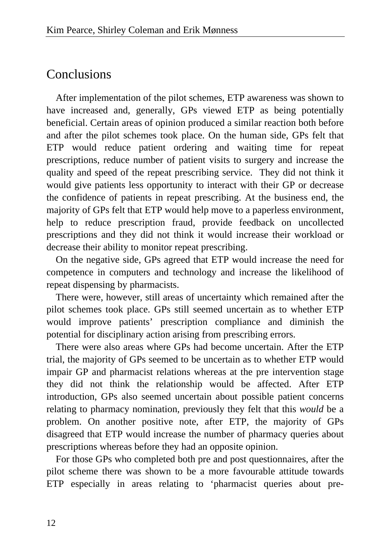### Conclusions

After implementation of the pilot schemes, ETP awareness was shown to have increased and, generally, GPs viewed ETP as being potentially beneficial. Certain areas of opinion produced a similar reaction both before and after the pilot schemes took place. On the human side, GPs felt that ETP would reduce patient ordering and waiting time for repeat prescriptions, reduce number of patient visits to surgery and increase the quality and speed of the repeat prescribing service. They did not think it would give patients less opportunity to interact with their GP or decrease the confidence of patients in repeat prescribing. At the business end, the majority of GPs felt that ETP would help move to a paperless environment, help to reduce prescription fraud, provide feedback on uncollected prescriptions and they did not think it would increase their workload or decrease their ability to monitor repeat prescribing.

On the negative side, GPs agreed that ETP would increase the need for competence in computers and technology and increase the likelihood of repeat dispensing by pharmacists.

There were, however, still areas of uncertainty which remained after the pilot schemes took place. GPs still seemed uncertain as to whether ETP would improve patients' prescription compliance and diminish the potential for disciplinary action arising from prescribing errors.

There were also areas where GPs had become uncertain. After the ETP trial, the majority of GPs seemed to be uncertain as to whether ETP would impair GP and pharmacist relations whereas at the pre intervention stage they did not think the relationship would be affected. After ETP introduction, GPs also seemed uncertain about possible patient concerns relating to pharmacy nomination, previously they felt that this *would* be a problem. On another positive note, after ETP, the majority of GPs disagreed that ETP would increase the number of pharmacy queries about prescriptions whereas before they had an opposite opinion.

For those GPs who completed both pre and post questionnaires, after the pilot scheme there was shown to be a more favourable attitude towards ETP especially in areas relating to 'pharmacist queries about pre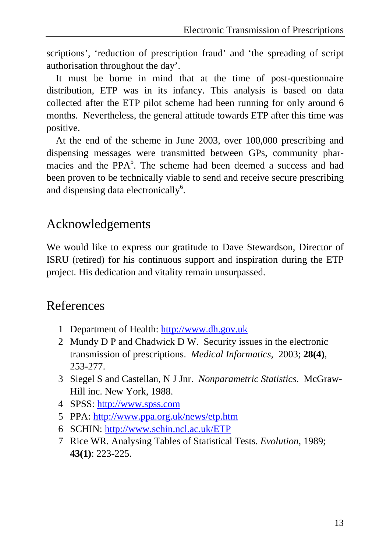scriptions', 'reduction of prescription fraud' and 'the spreading of script authorisation throughout the day'.

It must be borne in mind that at the time of post-questionnaire distribution, ETP was in its infancy. This analysis is based on data collected after the ETP pilot scheme had been running for only around 6 months. Nevertheless, the general attitude towards ETP after this time was positive.

At the end of the scheme in June 2003, over 100,000 prescribing and dispensing messages were transmitted between GPs, community pharmacies and the PPA<sup>5</sup>. The scheme had been deemed a success and had been proven to be technically viable to send and receive secure prescribing and dispensing data electronically<sup>6</sup>.

## Acknowledgements

We would like to express our gratitude to Dave Stewardson, Director of ISRU (retired) for his continuous support and inspiration during the ETP project. His dedication and vitality remain unsurpassed.

## References

- 1 Department of Health: [http://www.dh.gov.uk](http://www.dh.gov.uk/)
- 2 Mundy D P and Chadwick D W. Security issues in the electronic transmission of prescriptions. *Medical Informatics*, 2003; **28(4)**, 253-277.
- 3 Siegel S and Castellan, N J Jnr. *Nonparametric Statistics*. McGraw-Hill inc. New York, 1988.
- 4 SPSS: [http://www.spss.com](http://www.spss.com/)
- 5 PPA:<http://www.ppa.org.uk/news/etp.htm>
- 6 SCHIN: <http://www.schin.ncl.ac.uk/ETP>
- 7 Rice WR. Analysing Tables of Statistical Tests. *Evolution*, 1989; **43(1)**: 223-225.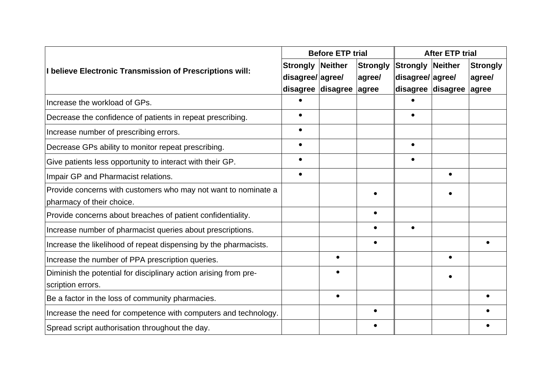|                                                                  |                 | <b>Before ETP trial</b> |                 |                         | <b>After ETP trial</b> |                 |
|------------------------------------------------------------------|-----------------|-------------------------|-----------------|-------------------------|------------------------|-----------------|
| I believe Electronic Transmission of Prescriptions will:         | <b>Strongly</b> | Neither                 | <b>Strongly</b> | <b>Strongly Neither</b> |                        | <b>Strongly</b> |
|                                                                  | disagree/agree/ |                         | agree/          | disagree/agree/         |                        | agree/          |
|                                                                  |                 | disagree disagree agree |                 | disagree disagree       |                        | agree           |
| Increase the workload of GPs.                                    |                 |                         |                 |                         |                        |                 |
| Decrease the confidence of patients in repeat prescribing.       |                 |                         |                 |                         |                        |                 |
| Increase number of prescribing errors.                           | $\bullet$       |                         |                 |                         |                        |                 |
| Decrease GPs ability to monitor repeat prescribing.              | $\bullet$       |                         |                 | $\bullet$               |                        |                 |
| Give patients less opportunity to interact with their GP.        | $\bullet$       |                         |                 | $\bullet$               |                        |                 |
| Impair GP and Pharmacist relations.                              |                 |                         |                 |                         |                        |                 |
| Provide concerns with customers who may not want to nominate a   |                 |                         |                 |                         |                        |                 |
| pharmacy of their choice.                                        |                 |                         |                 |                         |                        |                 |
| Provide concerns about breaches of patient confidentiality.      |                 |                         | $\bullet$       |                         |                        |                 |
| Increase number of pharmacist queries about prescriptions.       |                 |                         |                 |                         |                        |                 |
| Increase the likelihood of repeat dispensing by the pharmacists. |                 |                         | $\bullet$       |                         |                        |                 |
| Increase the number of PPA prescription queries.                 |                 | $\bullet$               |                 |                         | $\bullet$              |                 |
| Diminish the potential for disciplinary action arising from pre- |                 | $\bullet$               |                 |                         |                        |                 |
| scription errors.                                                |                 |                         |                 |                         |                        |                 |
| Be a factor in the loss of community pharmacies.                 |                 | $\bullet$               |                 |                         |                        |                 |
| Increase the need for competence with computers and technology.  |                 |                         | $\bullet$       |                         |                        |                 |
| Spread script authorisation throughout the day.                  |                 |                         | $\bullet$       |                         |                        |                 |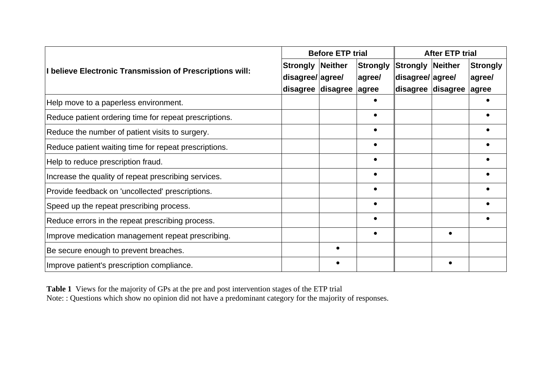|                                                          |                  | <b>Before ETP trial</b> |           |                   | <b>After ETP trial</b>            |          |  |
|----------------------------------------------------------|------------------|-------------------------|-----------|-------------------|-----------------------------------|----------|--|
| I believe Electronic Transmission of Prescriptions will: | <b>Strongly</b>  | Neither                 | Strongly  | <b>Strongly</b>   |                                   | Strongly |  |
|                                                          | disagree/ agree/ |                         | agree/    | disagree/agree/   |                                   | agree/   |  |
|                                                          |                  | disagree disagree       | agree     | disagree disagree | Neither<br>$\bullet$<br>$\bullet$ | agree    |  |
| Help move to a paperless environment.                    |                  |                         |           |                   |                                   |          |  |
| Reduce patient ordering time for repeat prescriptions.   |                  |                         | $\bullet$ |                   |                                   |          |  |
| Reduce the number of patient visits to surgery.          |                  |                         | $\bullet$ |                   |                                   |          |  |
| Reduce patient waiting time for repeat prescriptions.    |                  |                         | $\bullet$ |                   |                                   |          |  |
| Help to reduce prescription fraud.                       |                  |                         | $\bullet$ |                   |                                   |          |  |
| Increase the quality of repeat prescribing services.     |                  |                         | $\bullet$ |                   |                                   |          |  |
| Provide feedback on 'uncollected' prescriptions.         |                  |                         |           |                   |                                   |          |  |
| Speed up the repeat prescribing process.                 |                  |                         | $\bullet$ |                   |                                   |          |  |
| Reduce errors in the repeat prescribing process.         |                  |                         | $\bullet$ |                   |                                   |          |  |
| Improve medication management repeat prescribing.        |                  |                         | $\bullet$ |                   |                                   |          |  |
| Be secure enough to prevent breaches.                    |                  | $\bullet$               |           |                   |                                   |          |  |
| Improve patient's prescription compliance.               |                  | $\bullet$               |           |                   |                                   |          |  |

**Table 1** Views for the majority of GPs at the pre and post intervention stages of the ETP trial Note: : Questions which show no opinion did not have a predominant category for the majority of responses.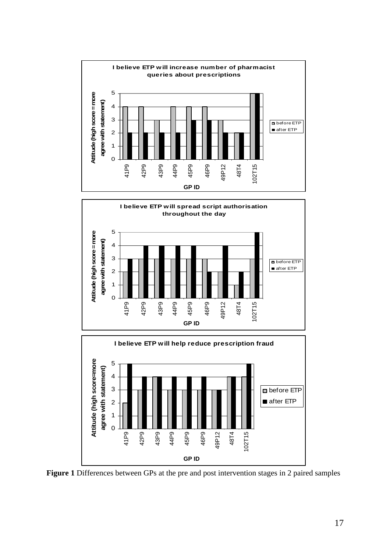



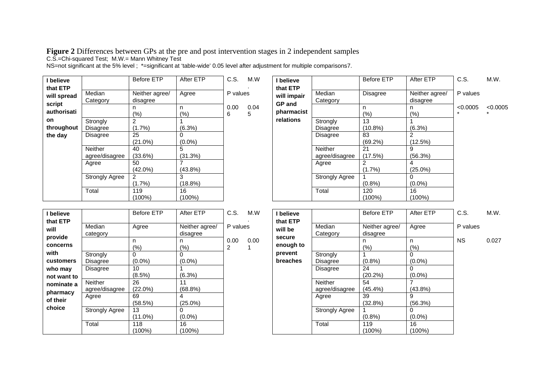**Figure 2** Differences between GPs at the pre and post intervention stages in 2 independent samples

C.S.=Chi-squared Test; M.W.= Mann Whitney Test

**I believe**

NS=not significant at the 5% level ; \*=significant at 'table-wide' 0.05 level after adjustment for multiple comparisons7.

Before ETP After ETP C.S. M.W

| I believe               |                                  | <b>Before ETP</b>          | After ETP       | C.S.      | M.W       | I believe                   |                           | E              |
|-------------------------|----------------------------------|----------------------------|-----------------|-----------|-----------|-----------------------------|---------------------------|----------------|
| that ETP<br>will spread | Median<br>Category               | Neither agree/<br>disagree | Agree           | P values  |           | that ETP<br>will impair     | Median<br>Category        | Е              |
| script<br>authorisati   |                                  | n<br>(%)                   | n<br>$(\% )$    | 0.00<br>6 | 0.04<br>5 | <b>GP</b> and<br>pharmacist |                           | n              |
| on.<br>throughout       | Strongly<br>Disagree             | 2<br>$(1.7\%)$             | (6.3%)          |           |           | relations                   | Strongly<br>Disagree      |                |
| the day                 | <b>Disagree</b>                  | 25<br>$(21.0\%)$           | 0<br>$(0.0\%)$  |           |           |                             | <b>Disagree</b>           | 8              |
|                         | <b>Neither</b><br>agree/disagree | 40<br>(33.6%)              | 5<br>(31.3%)    |           |           |                             | Neither<br>agree/disagree | 2              |
|                         | Agree                            | 50<br>$(42.0\%)$           | $(43.8\%)$      |           |           |                             | Agree                     | $\overline{c}$ |
|                         | <b>Strongly Agree</b>            | $\mathcal{P}$<br>$(1.7\%)$ | 3<br>$(18.8\%)$ |           |           |                             | <b>Strongly Agree</b>     |                |
|                         | Total                            | 119<br>$(100\%)$           | 16<br>$(100\%)$ |           |           |                             | Total                     |                |

| M.W        | I believe                   |                                  | <b>Before ETP</b>         | After ETP                  | C.S.                | M.W.     |
|------------|-----------------------------|----------------------------------|---------------------------|----------------------------|---------------------|----------|
|            | that ETP<br>will impair     | Median<br>Category               | <b>Disagree</b>           | Neither agree/<br>disagree | P values            |          |
| 0.04<br>5. | <b>GP</b> and<br>pharmacist |                                  | n<br>$(\% )$              | n<br>(%)                   | < 0.0005<br>$\star$ | < 0.0005 |
|            | relations                   | Strongly<br>Disagree             | 13<br>$(10.8\%)$          | (6.3%)                     |                     |          |
|            |                             | Disagree                         | 83<br>(69.2%)             | $\overline{2}$<br>(12.5%)  |                     |          |
|            |                             | <b>Neither</b><br>agree/disagree | 21<br>(17.5%)             | 9<br>(56.3%)               |                     |          |
|            |                             | Agree                            | 2<br>(1.7%)               | 4<br>$(25.0\%)$            |                     |          |
|            |                             | <b>Strongly Agree</b>            | $(0.8\%)$                 | 0<br>$(0.0\%)$             |                     |          |
|            |                             | Total                            | 120<br>$(100\%)$          | 16<br>(100%)               |                     |          |
|            |                             |                                  |                           |                            |                     |          |
| M.W        | I believe<br>that ETP       |                                  | <b>Before ETP</b>         | After ETP                  | C.S.                | M.W.     |
|            | will be                     | Median<br>Category               | Neither agree/<br>aanneen | Agree                      | P values            |          |

| that ETP<br>will<br>provide | Median<br>category          | Agree            | Neither agree/<br>disagree | P values  |      |
|-----------------------------|-----------------------------|------------------|----------------------------|-----------|------|
| concerns                    |                             | n<br>(%)         | n<br>(%)                   | 0.00<br>2 | 0.00 |
| with                        | Strongly                    | 0                | 0                          |           |      |
| customers<br>who may        | Disagree<br><b>Disagree</b> | $(0.0\%)$<br>10  | $(0.0\%)$                  |           |      |
| not want to                 | <b>Neither</b>              | $(8.5\%)$        | (6.3%)                     |           |      |
| nominate a<br>pharmacy      | agree/disagree              | 26<br>(22.0%)    | 11<br>(68.8%)              |           |      |
| of their                    | Agree                       | 69<br>(58.5%)    | 4<br>$(25.0\%)$            |           |      |
| choice                      | <b>Strongly Agree</b>       | 13<br>$(11.0\%)$ | O<br>$(0.0\%)$             |           |      |
|                             | Total                       | 118<br>(100%)    | 16<br>(100%)               |           |      |

| I believe       |                 | Belore ETH     | Alter E I P | ಲ.ಎ.      | IVI.VV. |
|-----------------|-----------------|----------------|-------------|-----------|---------|
| that ETP        |                 |                |             |           |         |
| will be         | Median          | Neither agree/ | Agree       | P values  |         |
|                 | Category        | disagree       |             |           |         |
| secure          |                 | n              | n           | <b>NS</b> | 0.027   |
| enough to       |                 | (%)            | (%)         |           |         |
| prevent         | Strongly        |                |             |           |         |
| <b>breaches</b> | Disagree        | $(0.8\%)$      | $(0.0\%)$   |           |         |
|                 | <b>Disagree</b> | 24             | O           |           |         |
|                 |                 | $(20.2\%)$     | $(0.0\%)$   |           |         |
|                 | Neither         | 54             |             |           |         |
|                 | agree/disagree  | $(45.4\%)$     | $(43.8\%)$  |           |         |
|                 | Agree           | 39             | 9           |           |         |
|                 |                 | (32.8%)        | (56.3%)     |           |         |
|                 | Strongly Agree  |                |             |           |         |
|                 |                 | $(0.8\%)$      | $(0.0\%)$   |           |         |
|                 | Total           | 119            | 16          |           |         |
|                 |                 | $100\%$        | (100%)      |           |         |
|                 |                 |                |             |           |         |